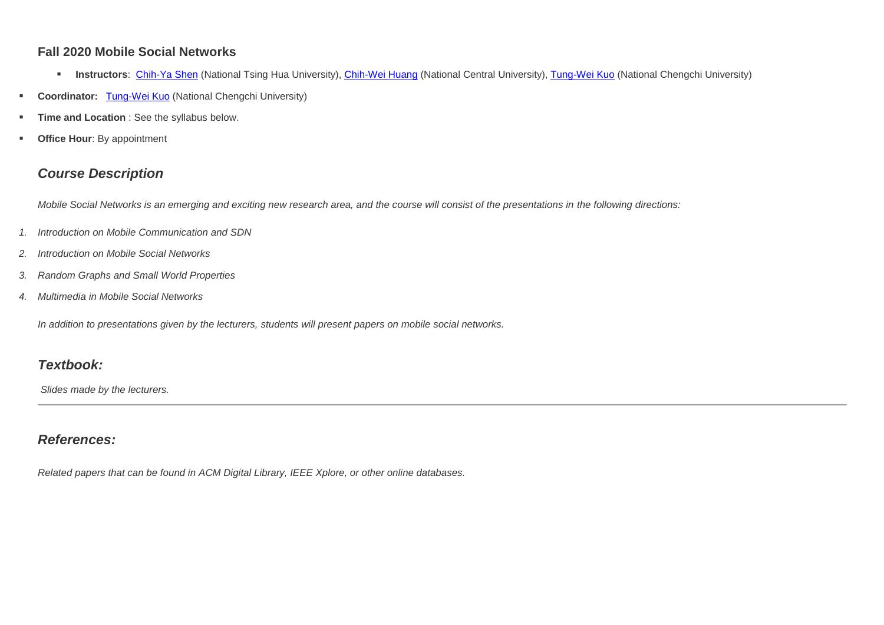#### **Fall 2020 Mobile Social Networks**

- **Instructors**: [Chih-Ya Shen](http://www.cs.nthu.edu.tw/~chihya/) (National Tsing Hua University), [Chih-Wei Huang](http://www.ce.ncu.edu.tw/~cwhuang/) (National Central University), [Tung-Wei Kuo](https://sites.google.com/site/tungweikuo/) (National Chengchi University)
- **Coordinator:** [Tung-Wei Kuo](https://sites.google.com/site/tungweikuo/) (National Chengchi University)
- **Time and Location** : See the syllabus below.
- **Office Hour: By appointment**

# *Course Description*

*Mobile Social Networks is an emerging and exciting new research area, and the course will consist of the presentations in the following directions:* 

- *1. Introduction on Mobile Communication and SDN*
- *2. Introduction on Mobile Social Networks*
- *3. Random Graphs and Small World Properties*
- *4. Multimedia in Mobile Social Networks*

*In addition to presentations given by the lecturers, students will present papers on mobile social networks.* 

### *Textbook:*

*Slides made by the lecturers.*

# *References:*

*Related papers that can be found in ACM Digital Library, IEEE Xplore, or other online databases.*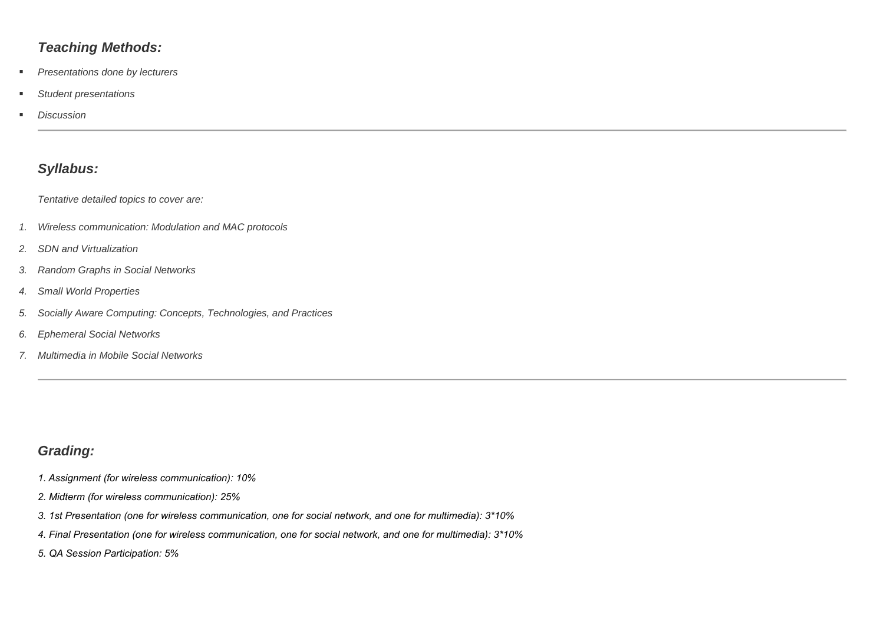### *Teaching Methods:*

- *Presentations done by lecturers*
- *Student presentations*
- *Discussion*

# *Syllabus:*

*Tentative detailed topics to cover are:*

- *1. Wireless communication: Modulation and MAC protocols*
- *2. SDN and Virtualization*
- *3. Random Graphs in Social Networks*
- *4. Small World Properties*
- *5. Socially Aware Computing: Concepts, Technologies, and Practices*
- *6. Ephemeral Social Networks*
- *7. Multimedia in Mobile Social Networks*

# *Grading:*

- *1. Assignment (for wireless communication): 10%*
- *2. Midterm (for wireless communication): 25%*
- *3. 1st Presentation (one for wireless communication, one for social network, and one for multimedia): 3\*10%*
- *4. Final Presentation (one for wireless communication, one for social network, and one for multimedia): 3\*10%*
- *5. QA Session Participation: 5%*